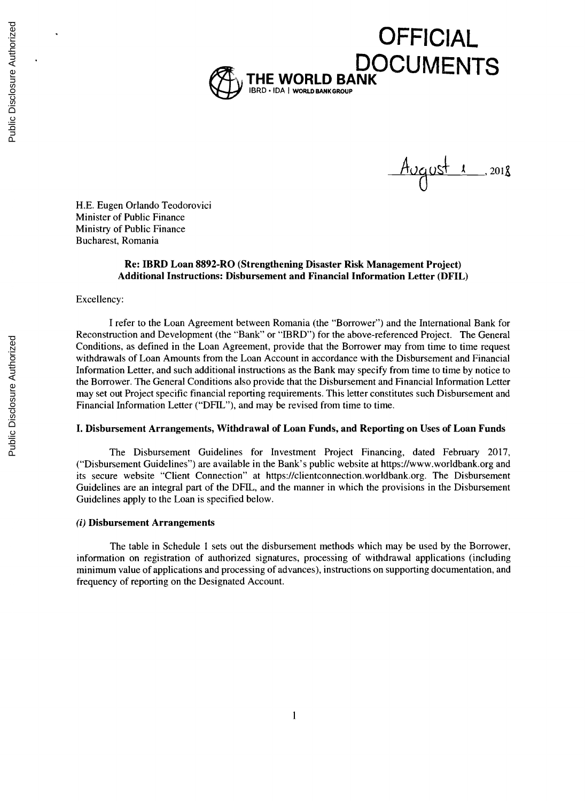

 $A_{UQ}$ ust 1 2018

**H.E.** Eugen Orlando Teodorovici Minister of Public Finance Ministry of Public Finance Bucharest, Romania

## **Re: IBRD Loan 8892-RO (Strengthening Disaster Risk Management Project) Additional Instructions: Disbursement and Financial Information Letter (DFIL)**

#### Excellency:

**<sup>I</sup>**refer to the Loan Agreement between Romania (the "Borrower") and the International Bank for Reconstruction and Development (the "Bank" or "IBRD") for the above-referenced Project. The General Conditions, as defined in the Loan Agreement, provide that the Borrower may from time to time request withdrawals of Loan Amounts from the Loan Account in accordance with the Disbursement and Financial Information Letter, and such additional instructions as the Bank may specify from time to time **by** notice to the Borrower. The General Conditions also provide that the Disbursement and Financial Information Letter may set out Project specific financial reporting requirements. This letter constitutes such Disbursement and Financial Information Letter ("DHL"), and may be revised from time to time.

### **I. Disbursement Arrangements, Withdrawal of Loan Funds, and Reporting on Uses of Loan Funds**

The Disbursement Guidelines for Investment Project Financing, dated February **2017,** ("Disbursement Guidelines") are available in the Bank's public website at https://www.worldbank.org and its secure website "Client Connection" at https://clientconnection.worldbank.org. The Disbursement Guidelines are an integral part of the DFIL, and the manner in which the provisions in the Disbursement Guidelines apply to the Loan is specified below.

#### *(i)* **Disbursement Arrangements**

The table in Schedule **I** sets out the disbursement methods which may be used **by** the Borrower, information on registration of authorized signatures, processing of withdrawal applications (including minimum value of applications and processing of advances), instructions on supporting documentation, and frequency of reporting on the Designated Account.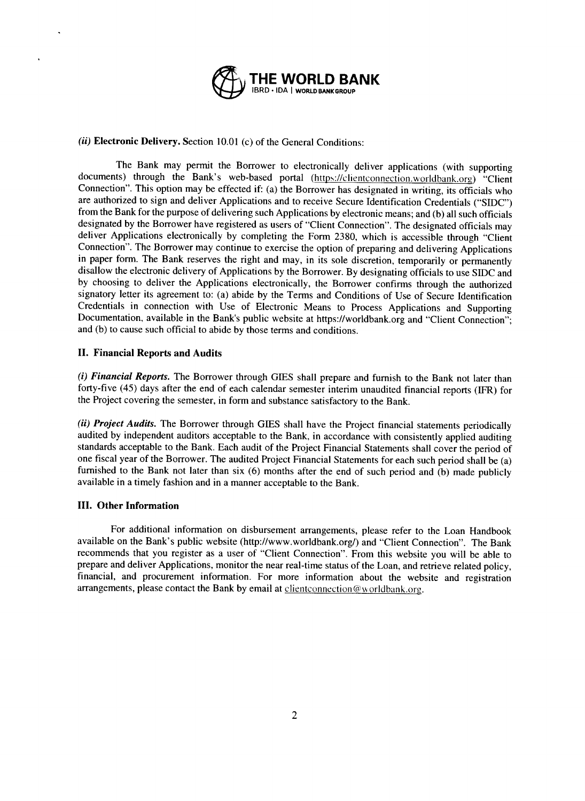

# *(ii)* **Electronic Delivery.** Section **10.01** (c) of the General Conditions:

The Bank may permit the Borrower to electronically deliver applications (with supporting documents) through the Bank's web-based portal (https://clientconnection.worldbank.org) "Client Connection". This option may be effected if: (a) the Borrower has designated in writing, its officials who are authorized to sign and deliver Applications and to receive Secure Identification Credentials ("SIDC") from the Bank for the purpose of delivering such Applications by electronic means; and (b) all such officials designated by the Borrower have registered as users of "Client Connection". The designated officials may deliver Applications electronically by completing the Form 2380, which is accessible through "Client Connection". The in paper form. The Bank reserves the right and may, in its sole discretion, temporarily or permanently disallow the electronic delivery of Applications by the Borrower. By designating officials to use SIDC and **by** choosing to deliver the Applications electronically, the Borrower confirms through the authorized signatory letter its agreement to: (a) abide **by** the Terms and Conditions of Use of Secure Identification Documentation, available in the Bank's public website at https://worldbank.org and "Client Connection"; and **(b)** to cause such official to abide **by** those terms and conditions.

## **II. Financial Reports and Audits**

*(i) Financial Reports.* The Borrower through **GIES** shall prepare and furnish to the Bank not later than forty-five *(45)* days after the end of each calendar semester interim unaudited financial reports (IFR) for the Project covering the semester, in form and substance satisfactory to the Bank.

(ii) Project Audits. The Borrower through GIES shall have the Project financial statements periodically audited by independent auditors acceptable to the Bank, in accordance with consistently applied auditing standards acc furnished to the Bank not later than six (6) months after the end of such period and (b) made publicly available in a timely fashion and in a manner acceptable to the Bank.

## **III. Other Information**

For additional information on disbursement arrangements, please refer to the Loan Handbook available on the Bank's public website (http://www.worldbank.org/) and "Client Connection". The Bank recommends that you register as a user of "Client Connection". From this website you will be able to prepare and deliver Applications, monitor the near real-time status of the Loan, and retrieve related policy, financial, and procurement information. For more information about the website and registration arrangements, please contact the Bank by email at clientconnection@worldbank.org.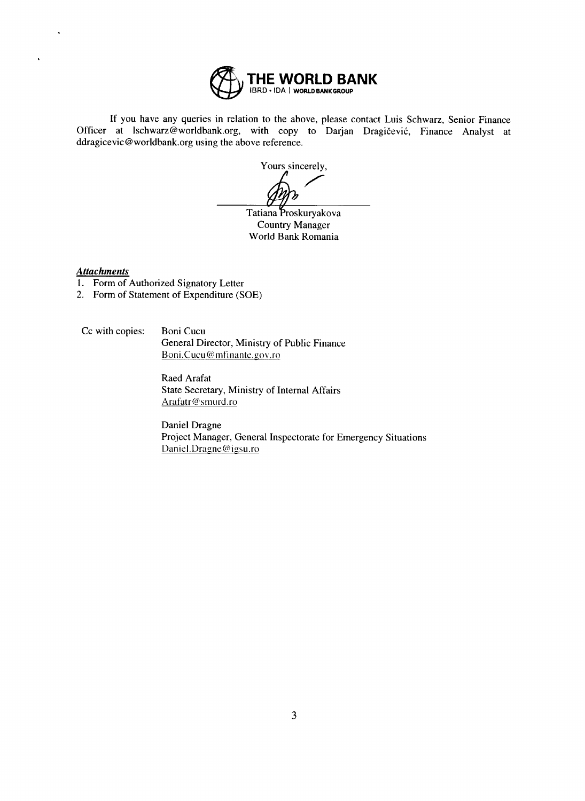

If you have any queries in relation to the above, please contact Luis Schwarz, Senior Finance Officer at Ischwarz@worldbank.org, with copy to Darjan Dragičević, Finance Analyst at ddragicevic@worldbank.org using the above reference.

Yours sincerely,

Tatiana Proskuryakova Country Manager World Bank Romania

# *Attachments*

- **1.** Form of Authorized Signatory Letter
- 2. Form of Statement of Expenditure **(SOE)**

Cc with copies: Boni Cucu General Director, Ministry of Public Finance Boni.Cucu@mfinante.gov.ro

> Raed Arafat State Secretary, Ministry of Internal Affairs Arafatr@smurd.ro

Daniel Dragne Project Manager, General Inspectorate for Emergency Situations Daniel.Dragne@igsu.ro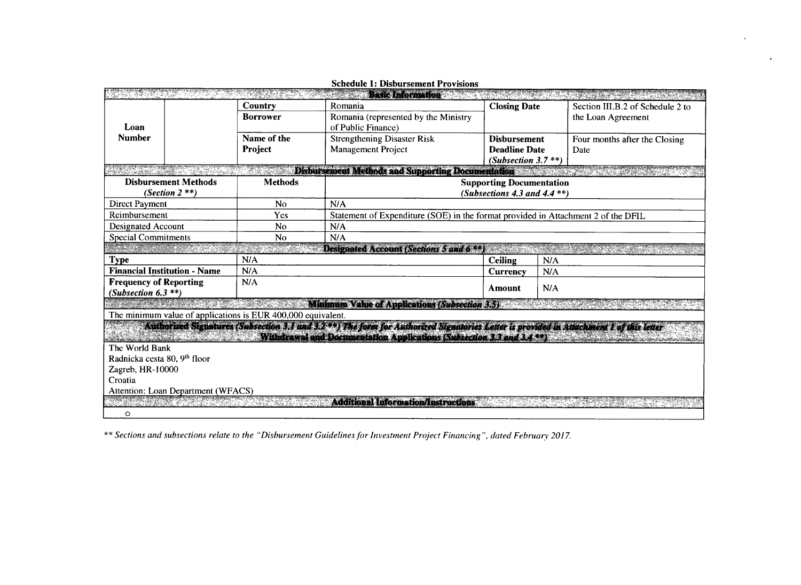|                                                                                                                                                                                                                                 |                                    |                                                              | Basic Information                                                                                                                     |                        |     |                                  |  |  |  |
|---------------------------------------------------------------------------------------------------------------------------------------------------------------------------------------------------------------------------------|------------------------------------|--------------------------------------------------------------|---------------------------------------------------------------------------------------------------------------------------------------|------------------------|-----|----------------------------------|--|--|--|
|                                                                                                                                                                                                                                 |                                    | Country                                                      | Romania                                                                                                                               | <b>Closing Date</b>    |     | Section III.B.2 of Schedule 2 to |  |  |  |
|                                                                                                                                                                                                                                 |                                    | <b>Borrower</b>                                              | Romania (represented by the Ministry                                                                                                  |                        |     | the Loan Agreement               |  |  |  |
| Loan                                                                                                                                                                                                                            |                                    |                                                              | of Public Finance)                                                                                                                    |                        |     |                                  |  |  |  |
| <b>Number</b>                                                                                                                                                                                                                   |                                    | Name of the                                                  | <b>Strengthening Disaster Risk</b>                                                                                                    | <b>Disbursement</b>    |     | Four months after the Closing    |  |  |  |
|                                                                                                                                                                                                                                 |                                    | Project                                                      | <b>Management Project</b>                                                                                                             | <b>Deadline Date</b>   |     | Date                             |  |  |  |
|                                                                                                                                                                                                                                 |                                    |                                                              |                                                                                                                                       | (Subsection 3.7 $**$ ) |     |                                  |  |  |  |
| Disbursement Methods and Supporting Documentation                                                                                                                                                                               |                                    |                                                              |                                                                                                                                       |                        |     |                                  |  |  |  |
| <b>Disbursement Methods</b>                                                                                                                                                                                                     |                                    | <b>Methods</b>                                               | <b>Supporting Documentation</b>                                                                                                       |                        |     |                                  |  |  |  |
| (Section $2$ **)                                                                                                                                                                                                                |                                    |                                                              | (Subsections 4.3 and 4.4 $**$ )                                                                                                       |                        |     |                                  |  |  |  |
| <b>Direct Payment</b>                                                                                                                                                                                                           |                                    | No                                                           | N/A                                                                                                                                   |                        |     |                                  |  |  |  |
| Reimbursement                                                                                                                                                                                                                   |                                    | Yes                                                          | Statement of Expenditure (SOE) in the format provided in Attachment 2 of the DFIL                                                     |                        |     |                                  |  |  |  |
| <b>Designated Account</b>                                                                                                                                                                                                       |                                    | N <sub>0</sub>                                               | N/A                                                                                                                                   |                        |     |                                  |  |  |  |
| <b>Special Commitments</b>                                                                                                                                                                                                      |                                    | No                                                           | N/A                                                                                                                                   |                        |     |                                  |  |  |  |
|                                                                                                                                                                                                                                 |                                    |                                                              | Designated Account (Sections 5 and 6 **)                                                                                              |                        |     |                                  |  |  |  |
| <b>Type</b>                                                                                                                                                                                                                     |                                    | N/A                                                          | <b>Ceiling</b>                                                                                                                        | N/A                    |     |                                  |  |  |  |
| <b>Financial Institution - Name</b>                                                                                                                                                                                             |                                    | N/A                                                          |                                                                                                                                       | Currency               | N/A |                                  |  |  |  |
| <b>Frequency of Reporting</b>                                                                                                                                                                                                   |                                    | N/A                                                          |                                                                                                                                       | Amount                 | N/A |                                  |  |  |  |
| (Subsection $6.3$ **)                                                                                                                                                                                                           |                                    |                                                              |                                                                                                                                       |                        |     |                                  |  |  |  |
|                                                                                                                                                                                                                                 |                                    |                                                              | <b>Minimum Value of Applications (Subsection 3.5)</b>                                                                                 |                        |     |                                  |  |  |  |
|                                                                                                                                                                                                                                 |                                    | The minimum value of applications is EUR 400,000 equivalent. |                                                                                                                                       |                        |     |                                  |  |  |  |
|                                                                                                                                                                                                                                 |                                    |                                                              | Authorized Signatures (Subsection 3.1 and 3.25%) The form for Authorized Signatories Leiter is provided in Attachment Lof this letter |                        |     |                                  |  |  |  |
| a de la composición de la componentación de la componentación de la componentación de la componentación de la<br>Entre el componentación de la componentación de la componentación de la componentación de la componentación de |                                    |                                                              | Withdrawal and Documentation Applications (Subtection 3.3 and 3.4.73) Constitution of the United States                               |                        |     |                                  |  |  |  |
| The World Bank                                                                                                                                                                                                                  |                                    |                                                              |                                                                                                                                       |                        |     |                                  |  |  |  |
| Radnicka cesta 80, 9 <sup>th</sup> floor                                                                                                                                                                                        |                                    |                                                              |                                                                                                                                       |                        |     |                                  |  |  |  |
| Zagreb, HR-10000                                                                                                                                                                                                                |                                    |                                                              |                                                                                                                                       |                        |     |                                  |  |  |  |
| Croatia                                                                                                                                                                                                                         |                                    |                                                              |                                                                                                                                       |                        |     |                                  |  |  |  |
|                                                                                                                                                                                                                                 | Attention: Loan Department (WFACS) |                                                              |                                                                                                                                       |                        |     |                                  |  |  |  |
| <b>Additional Information/Instructions</b>                                                                                                                                                                                      |                                    |                                                              |                                                                                                                                       |                        |     |                                  |  |  |  |
| $\circ$                                                                                                                                                                                                                         |                                    |                                                              |                                                                                                                                       |                        |     |                                  |  |  |  |

Schedule **1:** Disbursement Provisions

\*\* *Sections and subsections relate to the "Disbursement Guidelines for Investment Project Financing", dated February 2017.*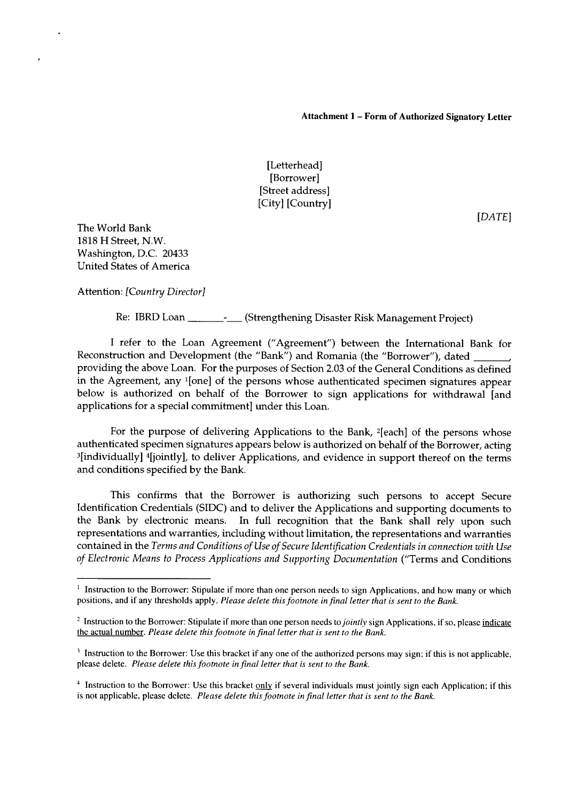#### **Attachment 1 - Form of Authorized Signatory Letter**

[Letterhead] [Borrower] [Street address] [City] [Country]

*[DATE]*

The World Bank **1818** H Street, N.W. Washington, **D.C.** 20433 United States of America

Attention: *[Country Director]*

Re: IBRD Loan \_\_\_\_\_\_\_\_\_\_- (Strengthening Disaster Risk Management Project)

**<sup>I</sup>**refer to the Loan Agreement ("Agreement") between the International Bank for Reconstruction and Development (the "Bank") and Romania (the "Borrower"), dated providing the above Loan. For the purposes of Section **2.03** of the General Conditions as defined in the Agreement, any 1[one] of the persons whose authenticated specimen signatures appear below is authorized on behalf of the Borrower to sign applications for withdrawal [and applications for a special commitment] under this Loan.

For the purpose of delivering Applications to the Bank, <sup>2</sup>[each] of the persons whose authenticated specimen signatures appears below is authorized on behalf of the Borrower, acting <sup>3</sup> <sup>3</sup>[individually] <sup>4</sup>[jointly], to deliver Applications, and evidence in support thereof on the terms and conditions specified **by** the Bank.

This confirms that the Borrower is authorizing such persons to accept Secure Identification Credentials **(SIDC)** and to deliver the Applications and supporting documents to the Bank **by** electronic means. In full recognition that the Bank shall rely upon such representations and warranties, including without limitation, the representations and warranties contained in the *Terms and Conditions of Use of Secure Identification Credentials in connection with Use of Electronic Means to Process Applications and Supporting Documentation* ("Terms and Conditions

<sup>&</sup>lt;sup>1</sup> Instruction to the Borrower: Stipulate if more than one person needs to sign Applications, and how many or which positions, and if any thresholds apply. *Please delete this footnote in final letter that is sent to the Bank.*

<sup>&</sup>lt;sup>2</sup> Instruction to the Borrower: Stipulate if more than one person needs to *jointly* sign Applications, if so, please indicate the actual number. *Please delete this footnote in final letter that is sent to the Bank.*

<sup>&</sup>lt;sup>3</sup> Instruction to the Borrower: Use this bracket if any one of the authorized persons may sign; if this is not applicable, please delete. *Please delete this footnote in final letter that is sent to the Bank.*

<sup>&</sup>lt;sup>4</sup> Instruction to the Borrower: Use this bracket only if several individuals must jointly sign each Application; if this is not applicable, please delete. *Please delete this footnote in final letter that is sent to the Bank.*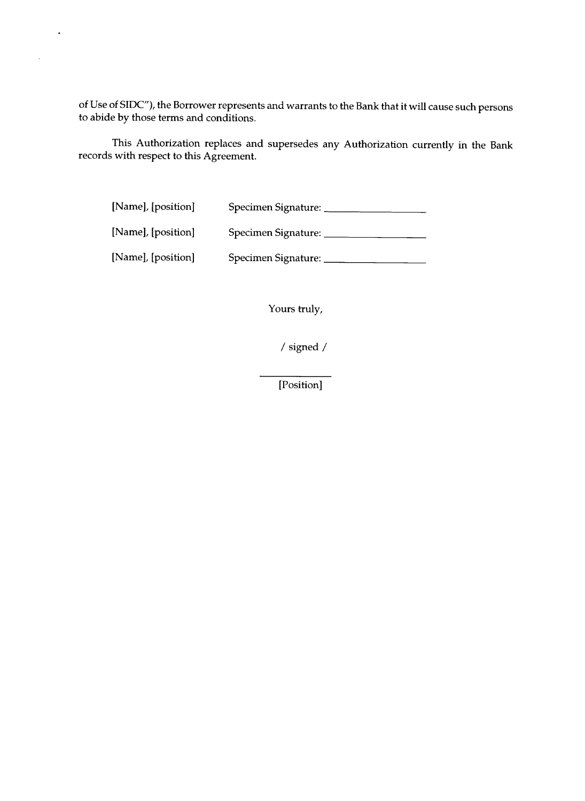of Use of **SIDC"),** the Borrower represents and warrants to the Bank that it will cause such persons to abide **by** those terms and conditions.

This Authorization replaces and supersedes any Authorization currently in the Bank records with respect to this Agreement.

| [Name], [position] | Specimen Signature: |
|--------------------|---------------------|
| [Name], [position] | Specimen Signature: |
| [Name], [position] | Specimen Signature: |

 $\ddot{\phantom{1}}$ 

 $\ddot{\phantom{a}}$ 

Yours truly,

**/** signed

[Position]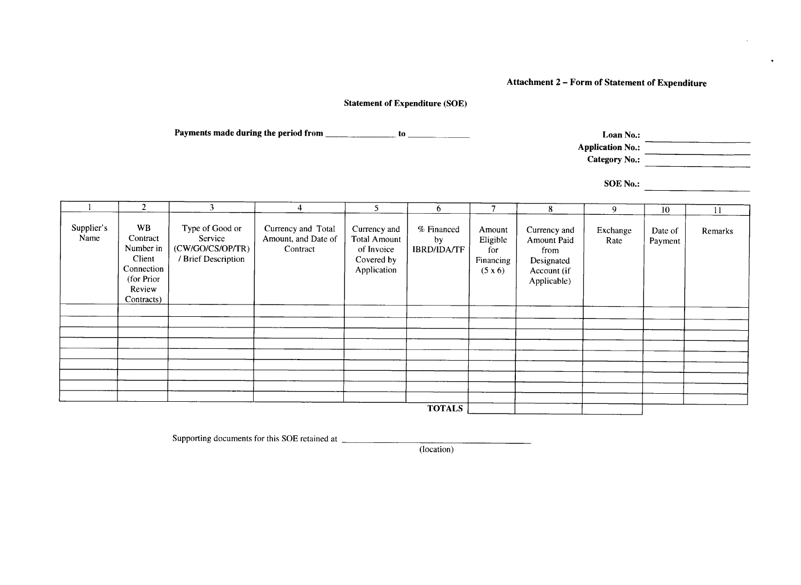# **Attachment 2 - Form of Statement of Expenditure**

# **Statement of Expenditure (SOE)**

Payments made during the period from **the Community of the Community of Assembly** to <u>Assembly of the Community of Assembly</u>

**Application No.:**

**Category No.:**

**SOE** No.:

|                    | 2                                                                                         | 3                                                                     | 4                                                     | 5                                                                       | 6                                      | $\overline{7}$                                    | 8                                                                               | 9                | 10                 | 11      |
|--------------------|-------------------------------------------------------------------------------------------|-----------------------------------------------------------------------|-------------------------------------------------------|-------------------------------------------------------------------------|----------------------------------------|---------------------------------------------------|---------------------------------------------------------------------------------|------------------|--------------------|---------|
| Supplier's<br>Name | WB<br>Contract<br>Number in<br>Client<br>Connection<br>(for Prior<br>Review<br>Contracts) | Type of Good or<br>Service<br>(CW/GO/CS/OP/TR)<br>/ Brief Description | Currency and Total<br>Amount, and Date of<br>Contract | Currency and<br>Total Amount<br>of Invoice<br>Covered by<br>Application | % Financed<br>by<br><b>IBRD/IDA/TF</b> | Amount<br>Eligible<br>for<br>Financing<br>(5 x 6) | Currency and<br>Amount Paid<br>from<br>Designated<br>Account (if<br>Applicable) | Exchange<br>Rate | Date of<br>Payment | Remarks |
|                    |                                                                                           |                                                                       |                                                       |                                                                         |                                        |                                                   |                                                                                 |                  |                    |         |
|                    |                                                                                           |                                                                       |                                                       |                                                                         |                                        |                                                   |                                                                                 |                  |                    |         |
|                    |                                                                                           |                                                                       |                                                       |                                                                         |                                        |                                                   |                                                                                 |                  |                    |         |
|                    |                                                                                           |                                                                       |                                                       |                                                                         |                                        |                                                   |                                                                                 |                  |                    |         |
|                    |                                                                                           |                                                                       |                                                       |                                                                         |                                        |                                                   |                                                                                 |                  |                    |         |
|                    |                                                                                           |                                                                       |                                                       |                                                                         |                                        |                                                   |                                                                                 |                  |                    |         |
|                    |                                                                                           |                                                                       |                                                       |                                                                         |                                        |                                                   |                                                                                 |                  |                    |         |
|                    |                                                                                           |                                                                       |                                                       |                                                                         |                                        |                                                   |                                                                                 |                  |                    |         |
|                    |                                                                                           |                                                                       |                                                       |                                                                         |                                        |                                                   |                                                                                 |                  |                    |         |
| <b>TOTALS</b>      |                                                                                           |                                                                       |                                                       |                                                                         |                                        |                                                   |                                                                                 |                  |                    |         |

Supporting documents for this **SOE** retained at

(location)